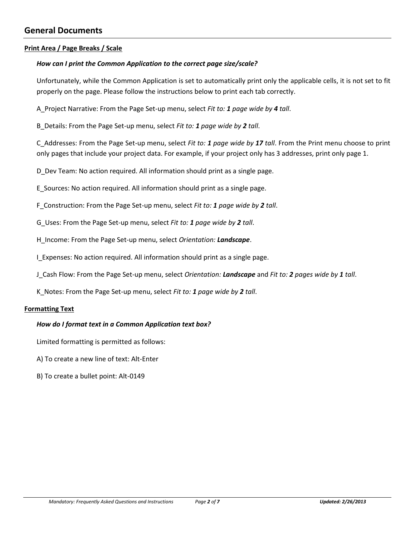# <span id="page-1-0"></span>**General Documents**

## <span id="page-1-1"></span>**Print Area / Page Breaks / Scale**

## *How can I print the Common Application to the correct page size/scale?*

Unfortunately, while the Common Application is set to automatically print only the applicable cells, it is not set to fit properly on the page. Please follow the instructions below to print each tab correctly.

A\_Project Narrative: From the Page Set-up menu, select *Fit to: 1 page wide by 4 tall*.

B\_Details: From the Page Set-up menu, select *Fit to: 1 page wide by 2 tall*.

C\_Addresses: From the Page Set-up menu, select *Fit to: 1 page wide by 17 tall*. From the Print menu choose to print only pages that include your project data. For example, if your project only has 3 addresses, print only page 1.

D\_Dev Team: No action required. All information should print as a single page.

E\_Sources: No action required. All information should print as a single page.

F\_Construction: From the Page Set-up menu, select *Fit to: 1 page wide by 2 tall*.

G\_Uses: From the Page Set-up menu, select *Fit to: 1 page wide by 2 tall*.

H\_Income: From the Page Set-up menu, select *Orientation: Landscape*.

I Expenses: No action required. All information should print as a single page.

J\_Cash Flow: From the Page Set-up menu, select *Orientation: Landscape* and *Fit to: 2 pages wide by 1 tall*.

K\_Notes: From the Page Set-up menu, select *Fit to: 1 page wide by 2 tall*.

#### <span id="page-1-2"></span>**Formatting Text**

### *How do I format text in a Common Application text box?*

Limited formatting is permitted as follows:

A) To create a new line of text: Alt-Enter

B) To create a bullet point: Alt-0149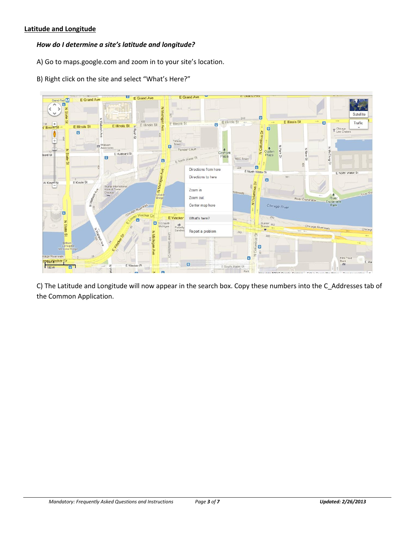## <span id="page-2-0"></span>**Latitude and Longitude**

## *How do I determine a site's latitude and longitude?*

- A) Go to maps.google.com and zoom in to your site's location.
- B) Right click on the site and select "What's Here?"



C) The Latitude and Longitude will now appear in the search box. Copy these numbers into the C\_Addresses tab of the Common Application.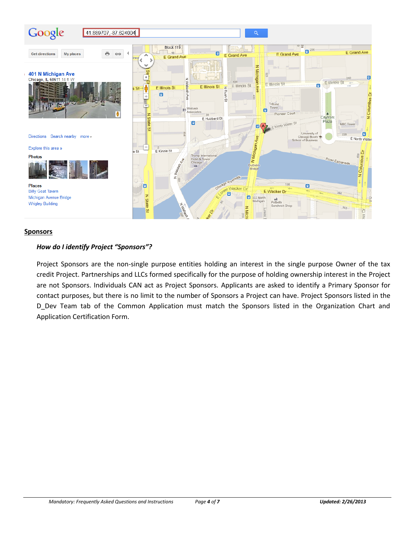

#### <span id="page-3-0"></span>**Sponsors**

### *How do I identify Project "Sponsors"?*

Project Sponsors are the non-single purpose entities holding an interest in the single purpose Owner of the tax credit Project. Partnerships and LLCs formed specifically for the purpose of holding ownership interest in the Project are not Sponsors. Individuals CAN act as Project Sponsors. Applicants are asked to identify a Primary Sponsor for contact purposes, but there is no limit to the number of Sponsors a Project can have. Project Sponsors listed in the D\_Dev Team tab of the Common Application must match the Sponsors listed in the Organization Chart and Application Certification Form.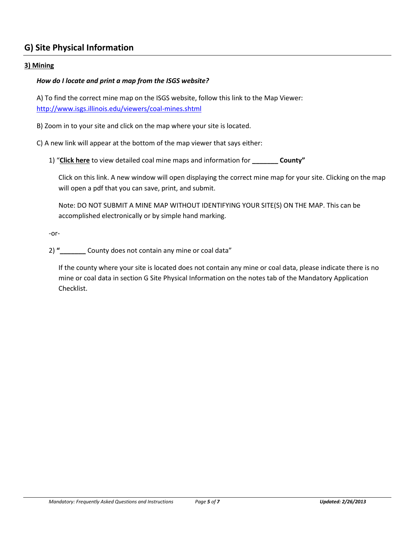# <span id="page-4-0"></span>**G) Site Physical Information**

## <span id="page-4-1"></span>**3) Mining**

## *How do I locate and print a map from the ISGS website?*

A) To find the correct mine map on the ISGS website, follow this link to the Map Viewer: <http://www.isgs.illinois.edu/viewers/coal-mines.shtml>

B) Zoom in to your site and click on the map where your site is located.

C) A new link will appear at the bottom of the map viewer that says either:

1) "**Click here** to view detailed coal mine maps and information for **\_\_\_\_\_\_\_ County"** 

Click on this link. A new window will open displaying the correct mine map for your site. Clicking on the map will open a pdf that you can save, print, and submit.

Note: DO NOT SUBMIT A MINE MAP WITHOUT IDENTIFYING YOUR SITE(S) ON THE MAP. This can be accomplished electronically or by simple hand marking.

-or-

2) " County does not contain any mine or coal data"

If the county where your site is located does not contain any mine or coal data, please indicate there is no mine or coal data in section G Site Physical Information on the notes tab of the Mandatory Application Checklist.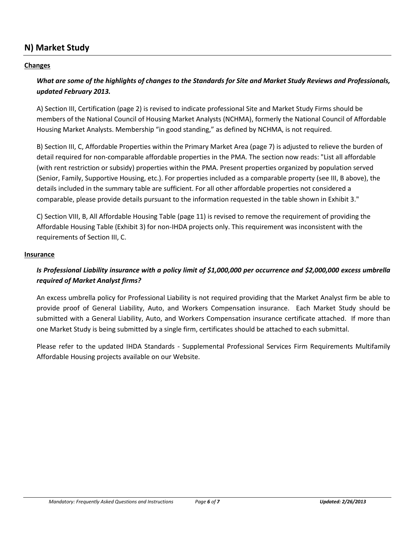# <span id="page-5-0"></span>**N) Market Study**

## <span id="page-5-1"></span>**Changes**

# *What are some of the highlights of changes to the Standards for Site and Market Study Reviews and Professionals, updated February 2013.*

A) Section III, Certification (page 2) is revised to indicate professional Site and Market Study Firms should be members of the National Council of Housing Market Analysts (NCHMA), formerly the National Council of Affordable Housing Market Analysts. Membership "in good standing," as defined by NCHMA, is not required.

B) Section III, C, Affordable Properties within the Primary Market Area (page 7) is adjusted to relieve the burden of detail required for non-comparable affordable properties in the PMA. The section now reads: "List all affordable (with rent restriction or subsidy) properties within the PMA. Present properties organized by population served (Senior, Family, Supportive Housing, etc.). For properties included as a comparable property (see III, B above), the details included in the summary table are sufficient. For all other affordable properties not considered a comparable, please provide details pursuant to the information requested in the table shown in Exhibit 3."

C) Section VIII, B, All Affordable Housing Table (page 11) is revised to remove the requirement of providing the Affordable Housing Table (Exhibit 3) for non-IHDA projects only. This requirement was inconsistent with the requirements of Section III, C.

## <span id="page-5-2"></span>**Insurance**

## *Is Professional Liability insurance with a policy limit of \$1,000,000 per occurrence and \$2,000,000 excess umbrella required of Market Analyst firms?*

An excess umbrella policy for Professional Liability is not required providing that the Market Analyst firm be able to provide proof of General Liability, Auto, and Workers Compensation insurance. Each Market Study should be submitted with a General Liability, Auto, and Workers Compensation insurance certificate attached. If more than one Market Study is being submitted by a single firm, certificates should be attached to each submittal.

Please refer to the updated IHDA Standards - Supplemental Professional Services Firm Requirements Multifamily Affordable Housing projects available on our Website.